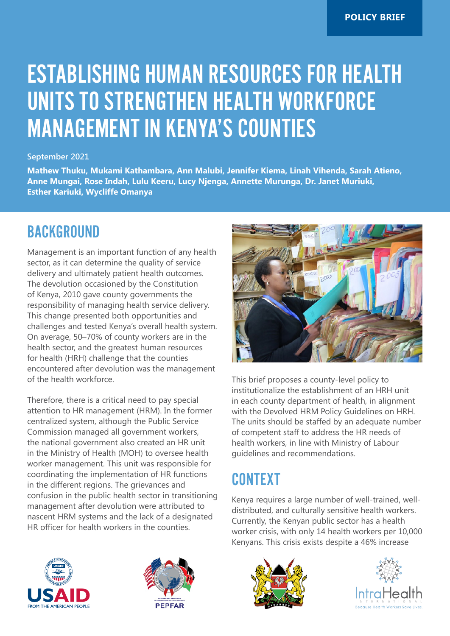# ESTABLISHING HUMAN RESOURCES FOR HEALTH UNITS TO STRENGTHEN HEALTH WORKFORCE MANAGEMENT IN KENYA'S COUNTIES

#### **September 2021**

**Mathew Thuku, Mukami Kathambara, Ann Malubi, Jennifer Kiema, Linah Vihenda, Sarah Atieno, Anne Mungai, Rose Indah, Lulu Keeru, Lucy Njenga, Annette Murunga, Dr. Janet Muriuki, Esther Kariuki, Wycliffe Omanya**

#### **BACKGROUND**

Management is an important function of any health sector, as it can determine the quality of service delivery and ultimately patient health outcomes. The devolution occasioned by the Constitution of Kenya, 2010 gave county governments the responsibility of managing health service delivery. This change presented both opportunities and challenges and tested Kenya's overall health system. On average, 50–70% of county workers are in the health sector, and the greatest human resources for health (HRH) challenge that the counties encountered after devolution was the management of the health workforce.

Therefore, there is a critical need to pay special attention to HR management (HRM). In the former centralized system, although the Public Service Commission managed all government workers, the national government also created an HR unit in the Ministry of Health (MOH) to oversee health worker management. This unit was responsible for coordinating the implementation of HR functions in the different regions. The grievances and confusion in the public health sector in transitioning management after devolution were attributed to nascent HRM systems and the lack of a designated HR officer for health workers in the counties.



This brief proposes a county-level policy to institutionalize the establishment of an HRH unit in each county department of health, in alignment with the Devolved HRM Policy Guidelines on HRH. The units should be staffed by an adequate number of competent staff to address the HR needs of health workers, in line with Ministry of Labour guidelines and recommendations.

### **CONTEXT**

Kenya requires a large number of well-trained, welldistributed, and culturally sensitive health workers. Currently, the Kenyan public sector has a health worker crisis, with only 14 health workers per 10,000 Kenyans. This crisis exists despite a 46% increase







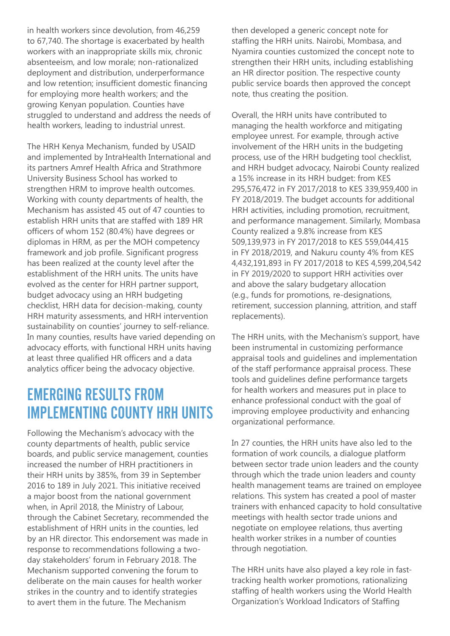in health workers since devolution, from 46,259 to 67,740. The shortage is exacerbated by health workers with an inappropriate skills mix, chronic absenteeism, and low morale; non-rationalized deployment and distribution, underperformance and low retention; insufficient domestic financing for employing more health workers; and the growing Kenyan population. Counties have struggled to understand and address the needs of health workers, leading to industrial unrest.

The HRH Kenya Mechanism, funded by USAID and implemented by IntraHealth International and its partners Amref Health Africa and Strathmore University Business School has worked to strengthen HRM to improve health outcomes. Working with county departments of health, the Mechanism has assisted 45 out of 47 counties to establish HRH units that are staffed with 189 HR officers of whom 152 (80.4%) have degrees or diplomas in HRM, as per the MOH competency framework and job profile. Significant progress has been realized at the county level after the establishment of the HRH units. The units have evolved as the center for HRH partner support, budget advocacy using an HRH budgeting checklist, HRH data for decision-making, county HRH maturity assessments, and HRH intervention sustainability on counties' journey to self-reliance. In many counties, results have varied depending on advocacy efforts, with functional HRH units having at least three qualified HR officers and a data analytics officer being the advocacy objective.

#### EMERGING RESULTS FROM IMPLEMENTING COUNTY HRH UNITS

Following the Mechanism's advocacy with the county departments of health, public service boards, and public service management, counties increased the number of HRH practitioners in their HRH units by 385%, from 39 in September 2016 to 189 in July 2021. This initiative received a major boost from the national government when, in April 2018, the Ministry of Labour, through the Cabinet Secretary, recommended the establishment of HRH units in the counties, led by an HR director. This endorsement was made in response to recommendations following a twoday stakeholders' forum in February 2018. The Mechanism supported convening the forum to deliberate on the main causes for health worker strikes in the country and to identify strategies to avert them in the future. The Mechanism

then developed a generic concept note for staffing the HRH units. Nairobi, Mombasa, and Nyamira counties customized the concept note to strengthen their HRH units, including establishing an HR director position. The respective county public service boards then approved the concept note, thus creating the position.

Overall, the HRH units have contributed to managing the health workforce and mitigating employee unrest. For example, through active involvement of the HRH units in the budgeting process, use of the HRH budgeting tool checklist, and HRH budget advocacy, Nairobi County realized a 15% increase in its HRH budget: from KES 295,576,472 in FY 2017/2018 to KES 339,959,400 in FY 2018/2019. The budget accounts for additional HRH activities, including promotion, recruitment, and performance management. Similarly, Mombasa County realized a 9.8% increase from KES 509,139,973 in FY 2017/2018 to KES 559,044,415 in FY 2018/2019, and Nakuru county 4% from KES 4,432,191,893 in FY 2017/2018 to KES 4,599,204,542 in FY 2019/2020 to support HRH activities over and above the salary budgetary allocation (e.g., funds for promotions, re-designations, retirement, succession planning, attrition, and staff replacements).

The HRH units, with the Mechanism's support, have been instrumental in customizing performance appraisal tools and guidelines and implementation of the staff performance appraisal process. These tools and guidelines define performance targets for health workers and measures put in place to enhance professional conduct with the goal of improving employee productivity and enhancing organizational performance.

In 27 counties, the HRH units have also led to the formation of work councils, a dialogue platform between sector trade union leaders and the county through which the trade union leaders and county health management teams are trained on employee relations. This system has created a pool of master trainers with enhanced capacity to hold consultative meetings with health sector trade unions and negotiate on employee relations, thus averting health worker strikes in a number of counties through negotiation.

The HRH units have also played a key role in fasttracking health worker promotions, rationalizing staffing of health workers using the World Health Organization's Workload Indicators of Staffing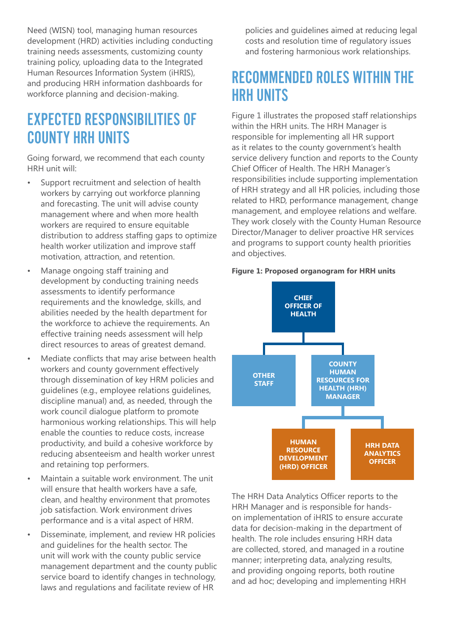Need (WISN) tool, managing human resources development (HRD) activities including conducting training needs assessments, customizing county training policy, uploading data to the Integrated Human Resources Information System (iHRIS), and producing HRH information dashboards for workforce planning and decision-making.

#### EXPECTED RESPONSIBILITIES OF COUNTY HRH UNITS

Going forward, we recommend that each county HRH unit will:

- Support recruitment and selection of health workers by carrying out workforce planning and forecasting. The unit will advise county management where and when more health workers are required to ensure equitable distribution to address staffing gaps to optimize health worker utilization and improve staff motivation, attraction, and retention.
- Manage ongoing staff training and development by conducting training needs assessments to identify performance requirements and the knowledge, skills, and abilities needed by the health department for the workforce to achieve the requirements. An effective training needs assessment will help direct resources to areas of greatest demand.
- Mediate conflicts that may arise between health workers and county government effectively through dissemination of key HRM policies and guidelines (e.g., employee relations guidelines, discipline manual) and, as needed, through the work council dialogue platform to promote harmonious working relationships. This will help enable the counties to reduce costs, increase productivity, and build a cohesive workforce by reducing absenteeism and health worker unrest and retaining top performers.
- Maintain a suitable work environment. The unit will ensure that health workers have a safe. clean, and healthy environment that promotes job satisfaction. Work environment drives performance and is a vital aspect of HRM.
- Disseminate, implement, and review HR policies and guidelines for the health sector. The unit will work with the county public service management department and the county public service board to identify changes in technology, laws and regulations and facilitate review of HR

policies and guidelines aimed at reducing legal costs and resolution time of regulatory issues and fostering harmonious work relationships.

#### RECOMMENDED ROLES WITHIN THE HRH UNITS

Figure 1 illustrates the proposed staff relationships within the HRH units. The HRH Manager is responsible for implementing all HR support as it relates to the county government's health service delivery function and reports to the County Chief Officer of Health. The HRH Manager's responsibilities include supporting implementation of HRH strategy and all HR policies, including those related to HRD, performance management, change management, and employee relations and welfare. They work closely with the County Human Resource Director/Manager to deliver proactive HR services and programs to support county health priorities and objectives.





The HRH Data Analytics Officer reports to the HRH Manager and is responsible for handson implementation of iHRIS to ensure accurate data for decision-making in the department of health. The role includes ensuring HRH data are collected, stored, and managed in a routine manner; interpreting data, analyzing results, and providing ongoing reports, both routine and ad hoc; developing and implementing HRH